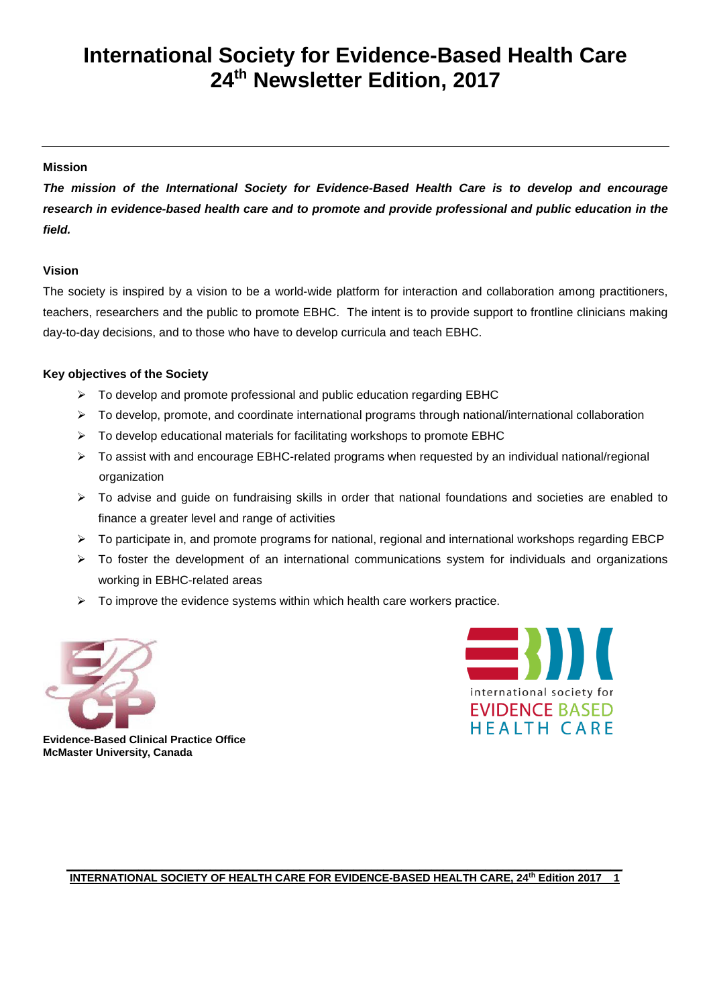# **International Society for Evidence-Based Health Care 24th Newsletter Edition, 2017**

### **Mission**

*The mission of the International Society for Evidence-Based Health Care is to develop and encourage research in evidence-based health care and to promote and provide professional and public education in the field.*

### **Vision**

The society is inspired by a vision to be a world-wide platform for interaction and collaboration among practitioners, teachers, researchers and the public to promote EBHC. The intent is to provide support to frontline clinicians making day-to-day decisions, and to those who have to develop curricula and teach EBHC.

### **Key objectives of the Society**

- $\triangleright$  To develop and promote professional and public education regarding EBHC
- $\triangleright$  To develop, promote, and coordinate international programs through national/international collaboration
- $\triangleright$  To develop educational materials for facilitating workshops to promote EBHC
- To assist with and encourage EBHC-related programs when requested by an individual national/regional organization
- $\triangleright$  To advise and guide on fundraising skills in order that national foundations and societies are enabled to finance a greater level and range of activities
- $\triangleright$  To participate in, and promote programs for national, regional and international workshops regarding EBCP
- $\triangleright$  To foster the development of an international communications system for individuals and organizations working in EBHC-related areas
- $\triangleright$  To improve the evidence systems within which health care workers practice.



international society for **EVIDENCE BASED HEALTH CARE** 

**Evidence-Based Clinical Practice Office McMaster University, Canada**

#### **\_\_\_\_\_\_\_\_\_\_\_\_\_\_\_\_\_\_\_\_\_\_\_\_\_\_\_\_\_\_\_\_\_\_\_\_\_\_\_\_\_\_\_\_\_\_\_\_\_\_\_\_\_\_\_\_\_\_\_\_\_\_\_\_\_\_\_\_\_\_\_\_\_\_\_\_\_\_\_\_\_\_\_\_\_\_\_\_\_\_\_\_\_ INTERNATIONAL SOCIETY OF HEALTH CARE FOR EVIDENCE-BASED HEALTH CARE, 24th Edition 2017 1**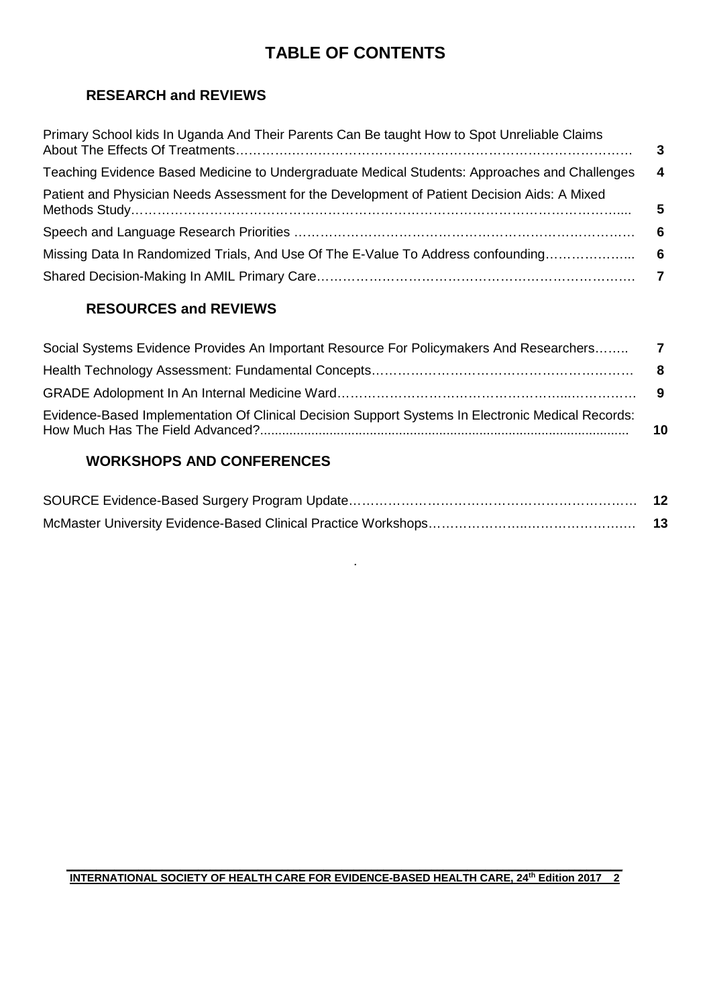# **TABLE OF CONTENTS**

# **RESEARCH and REVIEWS**

| Primary School kids In Uganda And Their Parents Can Be taught How to Spot Unreliable Claims   | 3 |
|-----------------------------------------------------------------------------------------------|---|
| Teaching Evidence Based Medicine to Undergraduate Medical Students: Approaches and Challenges | 4 |
| Patient and Physician Needs Assessment for the Development of Patient Decision Aids: A Mixed  | 5 |
|                                                                                               |   |
| Missing Data In Randomized Trials, And Use Of The E-Value To Address confounding              |   |
|                                                                                               |   |
|                                                                                               |   |

# **RESOURCES and REVIEWS**

| Social Systems Evidence Provides An Important Resource For Policymakers And Researchers 7         |    |
|---------------------------------------------------------------------------------------------------|----|
|                                                                                                   |    |
|                                                                                                   |    |
| Evidence-Based Implementation Of Clinical Decision Support Systems In Electronic Medical Records: | 10 |

# **WORKSHOPS AND CONFERENCES**

.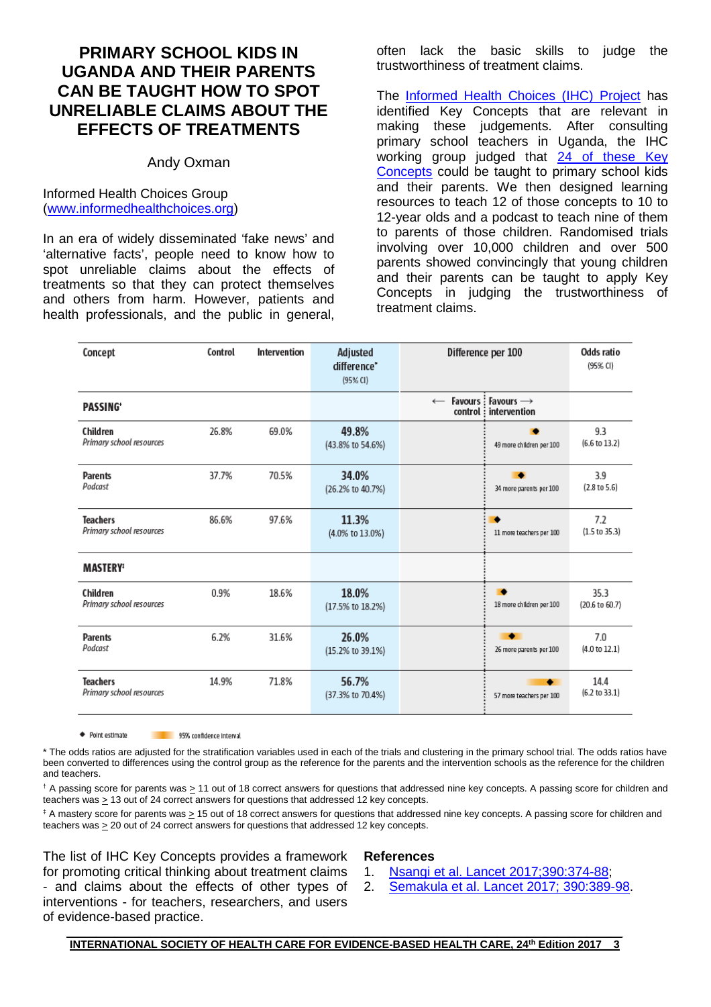# **PRIMARY SCHOOL KIDS IN UGANDA AND THEIR PARENTS CAN BE TAUGHT HOW TO SPOT UNRELIABLE CLAIMS ABOUT THE EFFECTS OF TREATMENTS**

### Andy Oxman

Informed Health Choices Group [\(www.informedhealthchoices.org\)](http://www.informedhealthchoices.org/)

In an era of widely disseminated 'fake news' and 'alternative facts', people need to know how to spot unreliable claims about the effects of treatments so that they can protect themselves and others from harm. However, patients and health professionals, and the public in general,

often lack the basic skills to judge the trustworthiness of treatment claims.

The [Informed Health Choices \(IHC\) Project](http://www.informedhealthchoices.org/) has identified Key Concepts that are relevant in making these judgements. After consulting primary school teachers in Uganda, the IHC working group judged that [24 of these Key](http://www.informedhealthchoices.org/wp-content/uploads/2016/10/Key-Concepts-that-are-relevant-for-primary-school-children.pdf)  [Concepts](http://www.informedhealthchoices.org/wp-content/uploads/2016/10/Key-Concepts-that-are-relevant-for-primary-school-children.pdf) could be taught to primary school kids and their parents. We then designed learning resources to teach 12 of those concepts to 10 to 12-year olds and a podcast to teach nine of them to parents of those children. Randomised trials involving over 10,000 children and over 500 parents showed convincingly that young children and their parents can be taught to apply Key Concepts in judging the trustworthiness of treatment claims.

| Concept                                     | Control | Intervention | Adjusted<br>difference*<br>(95% CI) |                                              | Difference per 100           | Odds ratio<br>(95% CI)          |
|---------------------------------------------|---------|--------------|-------------------------------------|----------------------------------------------|------------------------------|---------------------------------|
| PASSING'                                    |         |              |                                     | $\leftarrow$ Favours : Favours $\rightarrow$ | control: intervention        |                                 |
| Children<br>Primary school resources        | 26.8%   | 69.0%        | 49.8%<br>(43.8% to 54.6%)           |                                              | 49 more children per 100     | 9.3<br>$(6.6 \text{ to } 13.2)$ |
| <b>Parents</b><br>Podcast                   | 37.7%   | 70.5%        | 34.0%<br>(26.2% to 40.7%)           |                                              | 34 more parents per 100      | 3.9<br>(2.8 to 5.6)             |
| <b>Teachers</b><br>Primary school resources | 86.6%   | 97.6%        | 11.3%<br>(4.0% to 13.0%)            |                                              | 11 more teachers per 100     | 7.2<br>(1.5 to 35.3)            |
| <b>MASTERY</b> <sup>1</sup>                 |         |              |                                     |                                              |                              |                                 |
| Children<br>Primary school resources        | 0.9%    | 18.6%        | 18.0%<br>(17.5% to 18.2%)           |                                              | 18 more children per 100     | 35.3<br>(20.6 to 60.7)          |
| <b>Parents</b><br>Podcast                   | 6.2%    | 31.6%        | 26.0%<br>(15.2% to 39.1%)           |                                              | ۰<br>26 more parents per 100 | 7.0<br>(4.0 to 12.1)            |
| <b>Teachers</b><br>Primary school resources | 14.9%   | 71.8%        | 56.7%<br>(37.3% to 70.4%)           |                                              | 57 more teachers per 100     | 14.4<br>$(6.2$ to 33.1)         |

◆ Point estimate 95% confidence interval

\* The odds ratios are adjusted for the stratification variables used in each of the trials and clustering in the primary school trial. The odds ratios have been converted to differences using the control group as the reference for the parents and the intervention schools as the reference for the children and teachers.

 $\dagger$  A passing score for parents was  $\geq$  11 out of 18 correct answers for questions that addressed nine key concepts. A passing score for children and teachers was  $\geq$  13 out of 24 correct answers for questions that addressed 12 key concepts.

‡ A mastery score for parents was > 15 out of 18 correct answers for questions that addressed nine key concepts. A passing score for children and teachers was  $\geq$  20 out of 24 correct answers for questions that addressed 12 key concepts.

The list of IHC Key Concepts provides a framework for promoting critical thinking about treatment claims - and claims about the effects of other types of interventions - for teachers, researchers, and users of evidence-based practice.

### **References**

1. [Nsangi et al. Lancet 2017;390:374-88;](http://www.thelancet.com/journals/lancet/article/PIIS0140-6736(17)31226-6/fulltext?elsca1=tlpr)

2. [Semakula et al. Lancet 2017; 390:389-98.](http://www.thelancet.com/journals/lancet/article/PIIS0140-6736(17)31225-4/fulltext?elsca1=tlpr)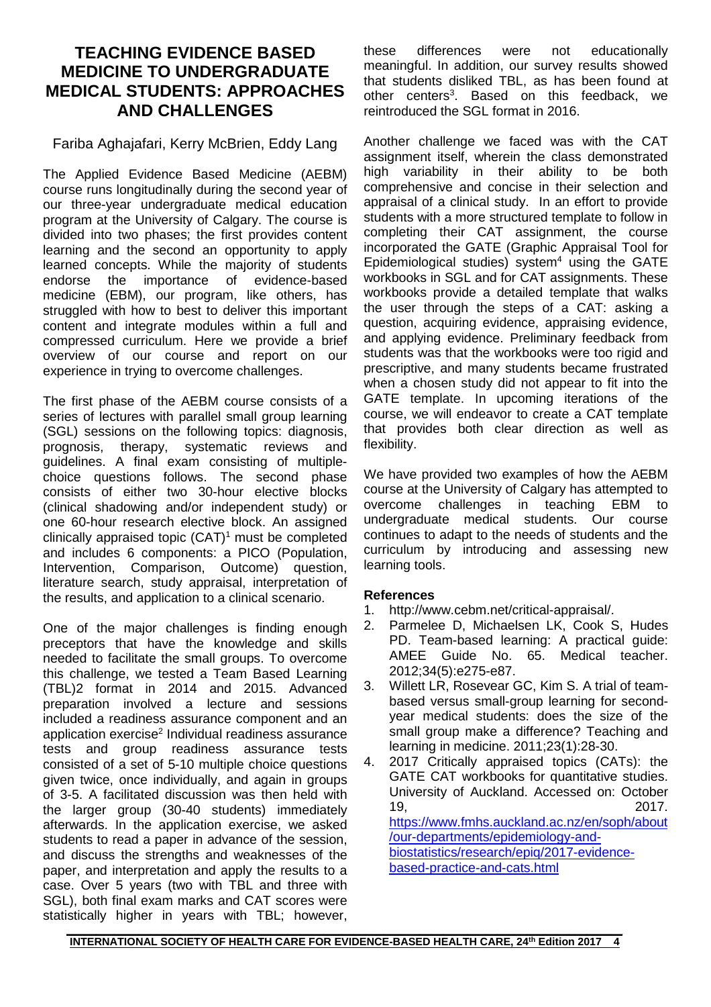# **TEACHING EVIDENCE BASED MEDICINE TO UNDERGRADUATE MEDICAL STUDENTS: APPROACHES AND CHALLENGES**

## Fariba Aghajafari, Kerry McBrien, Eddy Lang

The Applied Evidence Based Medicine (AEBM) course runs longitudinally during the second year of our three-year undergraduate medical education program at the University of Calgary. The course is divided into two phases; the first provides content learning and the second an opportunity to apply learned concepts. While the majority of students<br>endorse the importance of evidence-based importance of evidence-based medicine (EBM), our program, like others, has struggled with how to best to deliver this important content and integrate modules within a full and compressed curriculum. Here we provide a brief overview of our course and report on our experience in trying to overcome challenges.

The first phase of the AEBM course consists of a series of lectures with parallel small group learning (SGL) sessions on the following topics: diagnosis, prognosis, therapy, systematic reviews and guidelines. A final exam consisting of multiplechoice questions follows. The second phase consists of either two 30-hour elective blocks (clinical shadowing and/or independent study) or one 60-hour research elective block. An assigned clinically appraised topic  $(CAT)^1$  must be completed and includes 6 components: a PICO (Population, Intervention, Comparison, Outcome) question, literature search, study appraisal, interpretation of the results, and application to a clinical scenario.

One of the major challenges is finding enough preceptors that have the knowledge and skills needed to facilitate the small groups. To overcome this challenge, we tested a Team Based Learning (TBL)2 format in 2014 and 2015. Advanced preparation involved a lecture and sessions included a readiness assurance component and an application exercise<sup>2</sup> Individual readiness assurance tests and group readiness assurance tests consisted of a set of 5-10 multiple choice questions given twice, once individually, and again in groups of 3-5. A facilitated discussion was then held with the larger group (30-40 students) immediately afterwards. In the application exercise, we asked students to read a paper in advance of the session, and discuss the strengths and weaknesses of the paper, and interpretation and apply the results to a case. Over 5 years (two with TBL and three with SGL), both final exam marks and CAT scores were statistically higher in years with TBL; however,

these differences were not educationally meaningful. In addition, our survey results showed that students disliked TBL, as has been found at other centers<sup>3</sup>. Based on this feedback, we reintroduced the SGL format in 2016.

Another challenge we faced was with the CAT assignment itself, wherein the class demonstrated high variability in their ability to be both comprehensive and concise in their selection and appraisal of a clinical study. In an effort to provide students with a more structured template to follow in completing their CAT assignment, the course incorporated the GATE (Graphic Appraisal Tool for Epidemiological studies) system $4$  using the GATE workbooks in SGL and for CAT assignments. These workbooks provide a detailed template that walks the user through the steps of a CAT: asking a question, acquiring evidence, appraising evidence, and applying evidence. Preliminary feedback from students was that the workbooks were too rigid and prescriptive, and many students became frustrated when a chosen study did not appear to fit into the GATE template. In upcoming iterations of the course, we will endeavor to create a CAT template that provides both clear direction as well as flexibility.

We have provided two examples of how the AEBM course at the University of Calgary has attempted to overcome challenges in teaching EBM to undergraduate medical students. Our course continues to adapt to the needs of students and the curriculum by introducing and assessing new learning tools.

### **References**

- 1. http://www.cebm.net/critical-appraisal/.
- 2. Parmelee D, Michaelsen LK, Cook S, Hudes PD. Team-based learning: A practical guide: AMEE Guide No. 65. Medical teacher. 2012;34(5):e275-e87.
- 3. Willett LR, Rosevear GC, Kim S. A trial of teambased versus small-group learning for secondyear medical students: does the size of the small group make a difference? Teaching and learning in medicine. 2011;23(1):28-30.
- 4. 2017 Critically appraised topics (CATs): the GATE CAT workbooks for quantitative studies. University of Auckland. Accessed on: October 19, 2017. [https://www.fmhs.auckland.ac.nz/en/soph/about](https://www.fmhs.auckland.ac.nz/en/soph/about/our-departments/epidemiology-and-biostatistics/research/epiq/2017-evidence-based-practice-and-cats.html) [/our-departments/epidemiology-and-](https://www.fmhs.auckland.ac.nz/en/soph/about/our-departments/epidemiology-and-biostatistics/research/epiq/2017-evidence-based-practice-and-cats.html)

[biostatistics/research/epiq/2017-evidence](https://www.fmhs.auckland.ac.nz/en/soph/about/our-departments/epidemiology-and-biostatistics/research/epiq/2017-evidence-based-practice-and-cats.html)[based-practice-and-cats.html](https://www.fmhs.auckland.ac.nz/en/soph/about/our-departments/epidemiology-and-biostatistics/research/epiq/2017-evidence-based-practice-and-cats.html)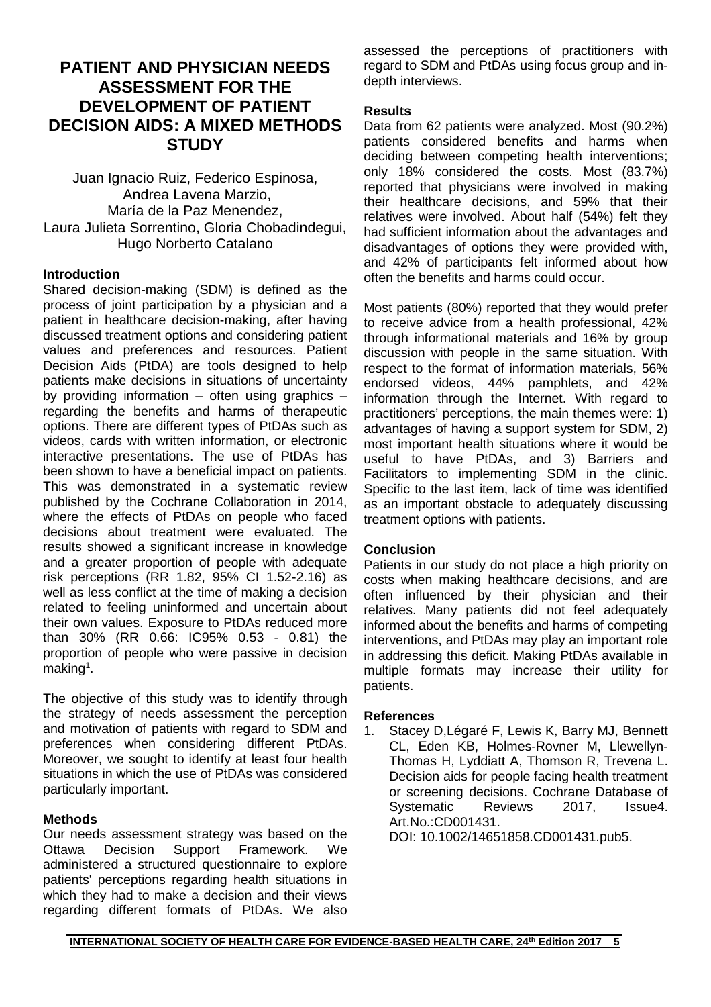# **PATIENT AND PHYSICIAN NEEDS ASSESSMENT FOR THE DEVELOPMENT OF PATIENT DECISION AIDS: A MIXED METHODS STUDY**

Juan Ignacio Ruiz, Federico Espinosa, Andrea Lavena Marzio, María de la Paz Menendez, Laura Julieta Sorrentino, Gloria Chobadindegui, Hugo Norberto Catalano

### **Introduction**

Shared decision-making (SDM) is defined as the process of joint participation by a physician and a patient in healthcare decision-making, after having discussed treatment options and considering patient values and preferences and resources. Patient Decision Aids (PtDA) are tools designed to help patients make decisions in situations of uncertainty by providing information – often using graphics – regarding the benefits and harms of therapeutic options. There are different types of PtDAs such as videos, cards with written information, or electronic interactive presentations. The use of PtDAs has been shown to have a beneficial impact on patients. This was demonstrated in a systematic review published by the Cochrane Collaboration in 2014, where the effects of PtDAs on people who faced decisions about treatment were evaluated. The results showed a significant increase in knowledge and a greater proportion of people with adequate risk perceptions (RR 1.82, 95% CI 1.52-2.16) as well as less conflict at the time of making a decision related to feeling uninformed and uncertain about their own values. Exposure to PtDAs reduced more than 30% (RR 0.66: IC95% 0.53 - 0.81) the proportion of people who were passive in decision making $^{\rm 1}.$ 

The objective of this study was to identify through the strategy of needs assessment the perception and motivation of patients with regard to SDM and preferences when considering different PtDAs. Moreover, we sought to identify at least four health situations in which the use of PtDAs was considered particularly important.

### **Methods**

Our needs assessment strategy was based on the Ottawa Decision Support Framework. We administered a structured questionnaire to explore patients' perceptions regarding health situations in which they had to make a decision and their views regarding different formats of PtDAs. We also assessed the perceptions of practitioners with regard to SDM and PtDAs using focus group and indepth interviews.

### **Results**

Data from 62 patients were analyzed. Most (90.2%) patients considered benefits and harms when deciding between competing health interventions; only 18% considered the costs. Most (83.7%) reported that physicians were involved in making their healthcare decisions, and 59% that their relatives were involved. About half (54%) felt they had sufficient information about the advantages and disadvantages of options they were provided with, and 42% of participants felt informed about how often the benefits and harms could occur.

Most patients (80%) reported that they would prefer to receive advice from a health professional, 42% through informational materials and 16% by group discussion with people in the same situation. With respect to the format of information materials, 56% endorsed videos, 44% pamphlets, and 42% information through the Internet. With regard to practitioners' perceptions, the main themes were: 1) advantages of having a support system for SDM, 2) most important health situations where it would be useful to have PtDAs, and 3) Barriers and Facilitators to implementing SDM in the clinic. Specific to the last item, lack of time was identified as an important obstacle to adequately discussing treatment options with patients.

### **Conclusion**

Patients in our study do not place a high priority on costs when making healthcare decisions, and are often influenced by their physician and their relatives. Many patients did not feel adequately informed about the benefits and harms of competing interventions, and PtDAs may play an important role in addressing this deficit. Making PtDAs available in multiple formats may increase their utility for patients.

### **References**

1. Stacey D,Légaré F, Lewis K, Barry MJ, Bennett CL, Eden KB, Holmes-Rovner M, Llewellyn-Thomas H, Lyddiatt A, Thomson R, Trevena L. Decision aids for people facing health treatment or screening decisions. Cochrane Database of Systematic Reviews 2017. Issue 4. Art.No.:CD001431.

DOI: 10.1002/14651858.CD001431.pub5.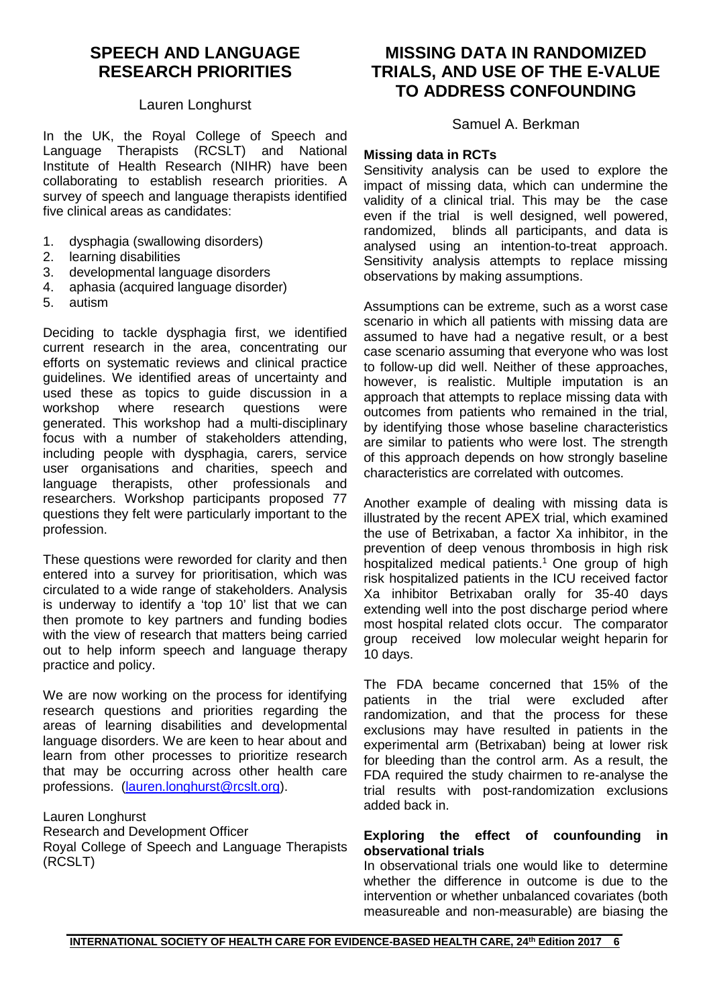# **SPEECH AND LANGUAGE RESEARCH PRIORITIES**

### Lauren Longhurst

In the UK, the Royal College of Speech and Language Therapists (RCSLT) and National Institute of Health Research (NIHR) have been collaborating to establish research priorities. A survey of speech and language therapists identified five clinical areas as candidates:

- 1. dysphagia (swallowing disorders)<br>2. learning disabilities
- 2. learning disabilities<br>3. developmental lang
- 3. developmental language disorders<br>4. aphasia (acquired language disorde
- 4. aphasia (acquired language disorder)
- 5. autism

Deciding to tackle dysphagia first, we identified current research in the area, concentrating our efforts on systematic reviews and clinical practice guidelines. We identified areas of uncertainty and used these as topics to guide discussion in a<br>workshop where research questions were workshop where research questions were generated. This workshop had a multi-disciplinary focus with a number of stakeholders attending, including people with dysphagia, carers, service user organisations and charities, speech and language therapists, other professionals and researchers. Workshop participants proposed 77 questions they felt were particularly important to the profession.

These questions were reworded for clarity and then entered into a survey for prioritisation, which was circulated to a wide range of stakeholders. Analysis is underway to identify a 'top 10' list that we can then promote to key partners and funding bodies with the view of research that matters being carried out to help inform speech and language therapy practice and policy.

We are now working on the process for identifying research questions and priorities regarding the areas of learning disabilities and developmental language disorders. We are keen to hear about and learn from other processes to prioritize research that may be occurring across other health care professions. [\(lauren.longhurst@rcslt.org\)](mailto:lauren.longhurst@rcslt.org).

Lauren Longhurst Research and Development Officer Royal College of Speech and Language Therapists (RCSLT)

# **MISSING DATA IN RANDOMIZED TRIALS, AND USE OF THE E-VALUE TO ADDRESS CONFOUNDING**

Samuel A. Berkman

### **Missing data in RCTs**

Sensitivity analysis can be used to explore the impact of missing data, which can undermine the validity of a clinical trial. This may be the case even if the trial is well designed, well powered, randomized, blinds all participants, and data is analysed using an intention-to-treat approach. Sensitivity analysis attempts to replace missing observations by making assumptions.

Assumptions can be extreme, such as a worst case scenario in which all patients with missing data are assumed to have had a negative result, or a best case scenario assuming that everyone who was lost to follow-up did well. Neither of these approaches, however, is realistic. Multiple imputation is an approach that attempts to replace missing data with outcomes from patients who remained in the trial, by identifying those whose baseline characteristics are similar to patients who were lost. The strength of this approach depends on how strongly baseline characteristics are correlated with outcomes.

Another example of dealing with missing data is illustrated by the recent APEX trial, which examined the use of Betrixaban, a factor Xa inhibitor, in the prevention of deep venous thrombosis in high risk hospitalized medical patients.<sup>1</sup> One group of high risk hospitalized patients in the ICU received factor Xa inhibitor Betrixaban orally for 35-40 days extending well into the post discharge period where most hospital related clots occur. The comparator group received low molecular weight heparin for 10 days.

The FDA became concerned that 15% of the patients in the trial were excluded after patients in the trial were randomization, and that the process for these exclusions may have resulted in patients in the experimental arm (Betrixaban) being at lower risk for bleeding than the control arm. As a result, the FDA required the study chairmen to re-analyse the trial results with post-randomization exclusions added back in.

### **Exploring the effect of counfounding in observational trials**

In observational trials one would like to determine whether the difference in outcome is due to the intervention or whether unbalanced covariates (both measureable and non-measurable) are biasing the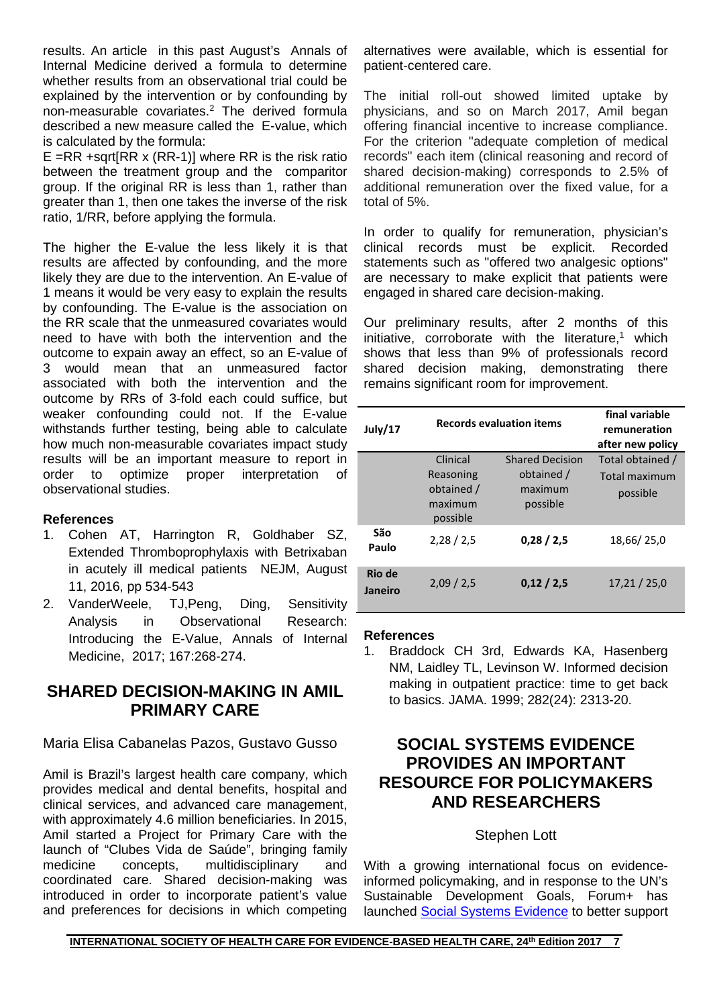results. An article in this past August's Annals of Internal Medicine derived a formula to determine whether results from an observational trial could be explained by the intervention or by confounding by non-measurable covariates.2 The derived formula described a new measure called the E-value, which is calculated by the formula:

E =RR +sqrt[RR x (RR-1)] where RR is the risk ratio between the treatment group and the comparitor group. If the original RR is less than 1, rather than greater than 1, then one takes the inverse of the risk ratio, 1/RR, before applying the formula.

The higher the E-value the less likely it is that results are affected by confounding, and the more likely they are due to the intervention. An E-value of 1 means it would be very easy to explain the results by confounding. The E-value is the association on the RR scale that the unmeasured covariates would need to have with both the intervention and the outcome to expain away an effect, so an E-value of 3 would mean that an unmeasured factor associated with both the intervention and the outcome by RRs of 3-fold each could suffice, but weaker confounding could not. If the E-value withstands further testing, being able to calculate how much non-measurable covariates impact study results will be an important measure to report in order to optimize proper interpretation of observational studies.

### **References**

- 1. Cohen AT, Harrington R, Goldhaber SZ, Extended Thromboprophylaxis with Betrixaban in acutely ill medical patients NEJM, August 11, 2016, pp 534-543
- 2. VanderWeele, TJ,Peng, Ding, Sensitivity Analysis in Observational Research: Introducing the E-Value, Annals of Internal Medicine, 2017; 167:268-274.

# **SHARED DECISION-MAKING IN AMIL PRIMARY CARE**

## Maria Elisa Cabanelas Pazos, Gustavo Gusso

Amil is Brazil's largest health care company, which provides medical and dental benefits, hospital and clinical services, and advanced care management, with approximately 4.6 million beneficiaries. In 2015, Amil started a Project for Primary Care with the launch of "Clubes Vida de Saúde", bringing family medicine concepts, multidisciplinary and coordinated care. Shared decision-making was introduced in order to incorporate patient's value and preferences for decisions in which competing alternatives were available, which is essential for patient-centered care.

The initial roll-out showed limited uptake by physicians, and so on March 2017, Amil began offering financial incentive to increase compliance. For the criterion "adequate completion of medical records" each item (clinical reasoning and record of shared decision-making) corresponds to 2.5% of additional remuneration over the fixed value, for a total of 5%.

In order to qualify for remuneration, physician's clinical records must be explicit. Recorded statements such as "offered two analgesic options" are necessary to make explicit that patients were engaged in shared care decision-making.

Our preliminary results, after 2 months of this initiative, corroborate with the literature,<sup>1</sup> which shows that less than 9% of professionals record shared decision making, demonstrating there remains significant room for improvement.

| July/17           | <b>Records evaluation items</b>                            | final variable<br>remuneration<br>after new policy          |                                               |
|-------------------|------------------------------------------------------------|-------------------------------------------------------------|-----------------------------------------------|
|                   | Clinical<br>Reasoning<br>obtained /<br>maximum<br>possible | <b>Shared Decision</b><br>obtained /<br>maximum<br>possible | Total obtained /<br>Total maximum<br>possible |
| São<br>Paulo      | 2,28/2,5                                                   | 0,28/2,5                                                    | 18,66/25,0                                    |
| Rio de<br>Janeiro | 2,09/2,5                                                   | 0,12/2,5                                                    | 17,21/25,0                                    |

### **References**

1. Braddock CH 3rd, Edwards KA, Hasenberg NM, Laidley TL, Levinson W. Informed decision making in outpatient practice: time to get back to basics. JAMA. 1999; 282(24): 2313-20.

# **SOCIAL SYSTEMS EVIDENCE PROVIDES AN IMPORTANT RESOURCE FOR POLICYMAKERS AND RESEARCHERS**

### Stephen Lott

With a growing international focus on evidenceinformed policymaking, and in response to the UN's Sustainable Development Goals, Forum+ has launched [Social Systems Evidence](http://www.socialsystemsevidence.org/) to better support

**\_\_\_\_\_\_\_\_\_\_\_\_\_\_\_\_\_\_\_\_\_\_\_\_\_\_\_\_\_\_\_\_\_\_\_\_\_\_\_\_\_\_\_\_\_\_\_\_\_\_\_\_\_\_\_\_\_\_\_\_\_\_\_\_\_\_\_\_\_\_\_\_\_\_\_\_\_\_\_\_\_\_\_\_\_\_\_\_\_\_\_\_\_ INTERNATIONAL SOCIETY OF HEALTH CARE FOR EVIDENCE-BASED HEALTH CARE, 24th Edition 2017 7**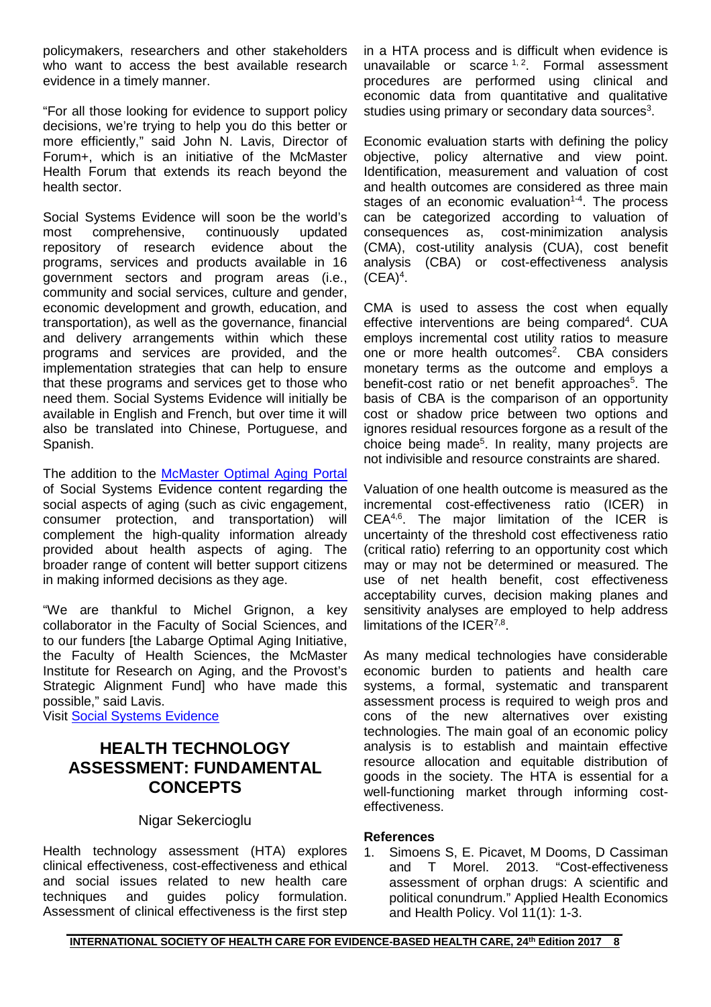policymakers, researchers and other stakeholders who want to access the best available research evidence in a timely manner.

"For all those looking for evidence to support policy decisions, we're trying to help you do this better or more efficiently," said John N. Lavis, Director of Forum+, which is an initiative of the McMaster Health Forum that extends its reach beyond the health sector.

Social Systems Evidence will soon be the world's<br>most comprehensive, continuously updated most comprehensive, continuously updated repository of research evidence about the programs, services and products available in 16 government sectors and program areas (i.e., community and social services, culture and gender, economic development and growth, education, and transportation), as well as the governance, financial and delivery arrangements within which these programs and services are provided, and the implementation strategies that can help to ensure that these programs and services get to those who need them. Social Systems Evidence will initially be available in English and French, but over time it will also be translated into Chinese, Portuguese, and Spanish.

The addition to the **McMaster Optimal Aging Portal** of Social Systems Evidence content regarding the social aspects of aging (such as civic engagement, consumer protection, and transportation) will complement the high-quality information already provided about health aspects of aging. The broader range of content will better support citizens in making informed decisions as they age.

"We are thankful to Michel Grignon, a key collaborator in the Faculty of Social Sciences, and to our funders [the Labarge Optimal Aging Initiative, the Faculty of Health Sciences, the McMaster Institute for Research on Aging, and the Provost's Strategic Alignment Fund] who have made this possible," said Lavis.

Visit [Social Systems Evidence](http://www.socialsystemsevidence.org/)

# **HEALTH TECHNOLOGY ASSESSMENT: FUNDAMENTAL CONCEPTS**

### Nigar Sekercioglu

Health technology assessment (HTA) explores clinical effectiveness, cost-effectiveness and ethical and social issues related to new health care techniques and guides policy formulation. Assessment of clinical effectiveness is the first step

in a HTA process and is difficult when evidence is unavailable or scarce  $1, 2$ . Formal assessment procedures are performed using clinical and economic data from quantitative and qualitative studies using primary or secondary data sources $^3\!\!$ .

Economic evaluation starts with defining the policy objective, policy alternative and view point. Identification, measurement and valuation of cost and health outcomes are considered as three main stages of an economic evaluation<sup>1-4</sup>. The process can be categorized according to valuation of consequences as, cost-minimization analysis (CMA), cost-utility analysis (CUA), cost benefit analysis (CBA) or cost-effectiveness analysis  $(CEA)^4$ .

CMA is used to assess the cost when equally effective interventions are being compared<sup>4</sup>. CUA employs incremental cost utility ratios to measure one or more health outcomes<sup>2</sup>. CBA considers monetary terms as the outcome and employs a benefit-cost ratio or net benefit approaches<sup>5</sup>. The basis of CBA is the comparison of an opportunity cost or shadow price between two options and ignores residual resources forgone as a result of the choice being made<sup>5</sup>. In reality, many projects are not indivisible and resource constraints are shared.

Valuation of one health outcome is measured as the incremental cost-effectiveness ratio (ICER) in CEA4,6. The major limitation of the ICER is uncertainty of the threshold cost effectiveness ratio (critical ratio) referring to an opportunity cost which may or may not be determined or measured. The use of net health benefit, cost effectiveness acceptability curves, decision making planes and sensitivity analyses are employed to help address limitations of the ICER<sup>7,8</sup>.

As many medical technologies have considerable economic burden to patients and health care systems, a formal, systematic and transparent assessment process is required to weigh pros and cons of the new alternatives over existing technologies. The main goal of an economic policy analysis is to establish and maintain effective resource allocation and equitable distribution of goods in the society. The HTA is essential for a well-functioning market through informing costeffectiveness.

### **References**

1. Simoens S, E. Picavet, M Dooms, D Cassiman and T Morel. 2013. "Cost-effectiveness assessment of orphan drugs: A scientific and political conundrum." Applied Health Economics and Health Policy. Vol 11(1): 1-3.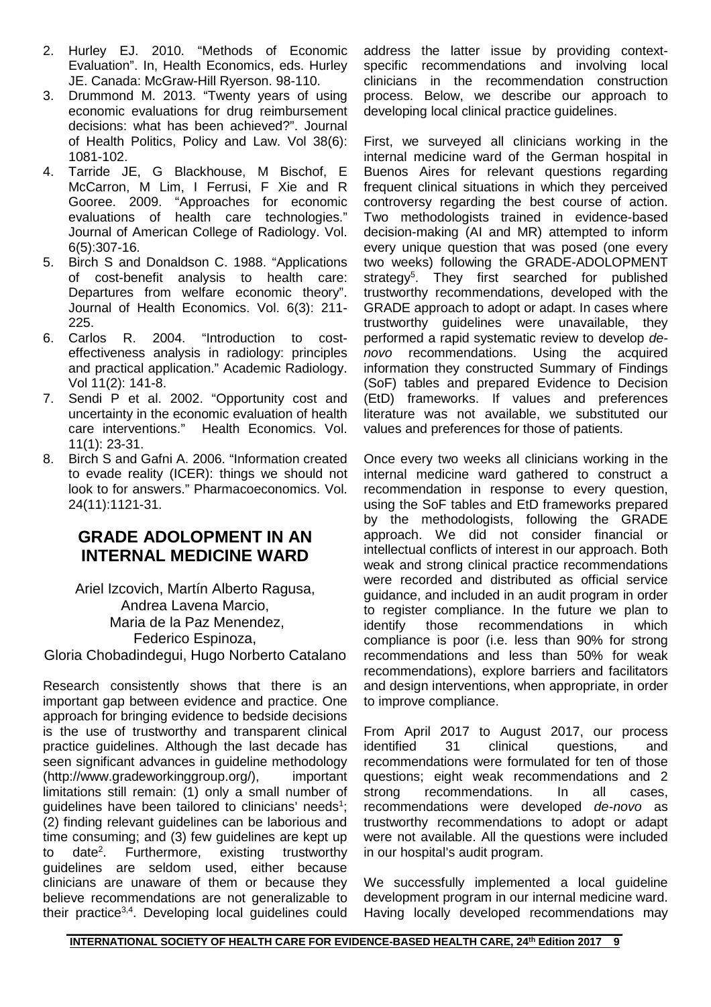- 2. Hurley EJ. 2010. "Methods of Economic Evaluation". In, Health Economics, eds. Hurley JE. Canada: McGraw-Hill Ryerson. 98-110.
- 3. Drummond M. 2013. "Twenty years of using economic evaluations for drug reimbursement decisions: what has been achieved?". Journal of Health Politics, Policy and Law. Vol 38(6): 1081-102.
- 4. Tarride JE, G Blackhouse, M Bischof, E McCarron, M Lim, I Ferrusi, F Xie and R Gooree. 2009. "Approaches for economic evaluations of health care technologies." Journal of American College of Radiology. Vol. 6(5):307-16.
- 5. Birch S and Donaldson C. 1988. "Applications of cost-benefit analysis to health care: Departures from welfare economic theory". Journal of Health Economics. Vol. 6(3): 211- 225.
- 6. Carlos R. 2004. "Introduction to costeffectiveness analysis in radiology: principles and practical application." Academic Radiology. Vol 11(2): 141-8.
- 7. Sendi P et al. 2002. "Opportunity cost and uncertainty in the economic evaluation of health care interventions." Health Economics. Vol. 11(1): 23-31.
- 8. Birch S and Gafni A. 2006. "Information created to evade reality (ICER): things we should not look to for answers." Pharmacoeconomics. Vol. 24(11):1121-31.

# **GRADE ADOLOPMENT IN AN INTERNAL MEDICINE WARD**

Ariel Izcovich, Martín Alberto Ragusa, Andrea Lavena Marcio, Maria de la Paz Menendez, Federico Espinoza,

Gloria Chobadindegui, Hugo Norberto Catalano

Research consistently shows that there is an important gap between evidence and practice. One approach for bringing evidence to bedside decisions is the use of trustworthy and transparent clinical practice guidelines. Although the last decade has seen significant advances in quideline methodology (http://www.gradeworkinggroup.org/), important limitations still remain: (1) only a small number of guidelines have been tailored to clinicians' needs<sup>1</sup>; (2) finding relevant guidelines can be laborious and time consuming; and (3) few guidelines are kept up to  $date^2$ . . Furthermore, existing trustworthy guidelines are seldom used, either because clinicians are unaware of them or because they believe recommendations are not generalizable to their practice3,4. Developing local guidelines could

address the latter issue by providing contextspecific recommendations and involving local clinicians in the recommendation construction process. Below, we describe our approach to developing local clinical practice guidelines.

First, we surveyed all clinicians working in the internal medicine ward of the German hospital in Buenos Aires for relevant questions regarding frequent clinical situations in which they perceived controversy regarding the best course of action. Two methodologists trained in evidence-based decision-making (AI and MR) attempted to inform every unique question that was posed (one every two weeks) following the GRADE-ADOLOPMENT strategy<sup>5</sup>. They first searched for published trustworthy recommendations, developed with the GRADE approach to adopt or adapt. In cases where trustworthy guidelines were unavailable, they performed a rapid systematic review to develop *denovo* recommendations. Using the acquired information they constructed Summary of Findings (SoF) tables and prepared Evidence to Decision (EtD) frameworks. If values and preferences literature was not available, we substituted our values and preferences for those of patients.

Once every two weeks all clinicians working in the internal medicine ward gathered to construct a recommendation in response to every question, using the SoF tables and EtD frameworks prepared by the methodologists, following the GRADE approach. We did not consider financial or intellectual conflicts of interest in our approach. Both weak and strong clinical practice recommendations were recorded and distributed as official service guidance, and included in an audit program in order to register compliance. In the future we plan to<br>identify those recommendations in which recommendations in which compliance is poor (i.e. less than 90% for strong recommendations and less than 50% for weak recommendations), explore barriers and facilitators and design interventions, when appropriate, in order to improve compliance.

From April 2017 to August 2017, our process identified 31 clinical questions, and 31 clinical questions, and recommendations were formulated for ten of those questions; eight weak recommendations and 2 strong recommendations. In all cases, recommendations were developed *de-novo* as trustworthy recommendations to adopt or adapt were not available. All the questions were included in our hospital's audit program.

We successfully implemented a local guideline development program in our internal medicine ward. Having locally developed recommendations may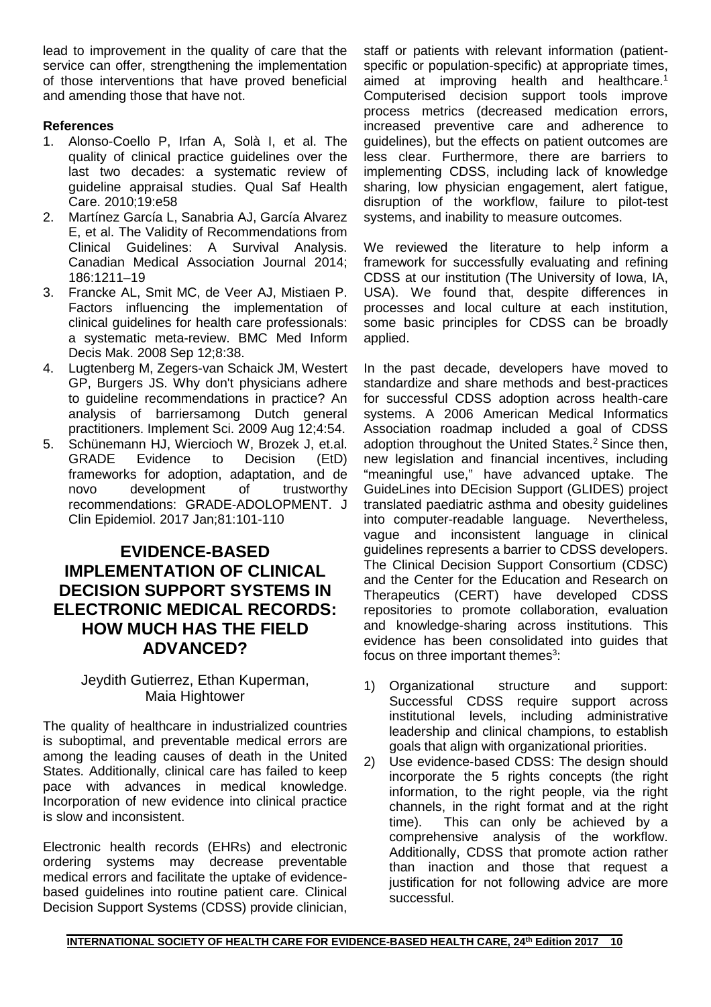lead to improvement in the quality of care that the service can offer, strengthening the implementation of those interventions that have proved beneficial and amending those that have not.

### **References**

- 1. Alonso-Coello P, Irfan A, Solà I, et al. The quality of clinical practice guidelines over the last two decades: a systematic review of guideline appraisal studies. Qual Saf Health Care. 2010;19:e58
- 2. Martínez García L, Sanabria AJ, García Alvarez E, et al. The Validity of Recommendations from Clinical Guidelines: A Survival Analysis. Canadian Medical Association Journal 2014; 186:1211–19
- 3. [Francke AL,](https://www.ncbi.nlm.nih.gov/pubmed/?term=Francke%20AL%5BAuthor%5D&cauthor=true&cauthor_uid=18789150) [Smit MC,](https://www.ncbi.nlm.nih.gov/pubmed/?term=Smit%20MC%5BAuthor%5D&cauthor=true&cauthor_uid=18789150) [de Veer AJ,](https://www.ncbi.nlm.nih.gov/pubmed/?term=de%20Veer%20AJ%5BAuthor%5D&cauthor=true&cauthor_uid=18789150) [Mistiaen P.](https://www.ncbi.nlm.nih.gov/pubmed/?term=Mistiaen%20P%5BAuthor%5D&cauthor=true&cauthor_uid=18789150) Factors influencing the implementation of clinical guidelines for health care professionals: a systematic meta-review. [BMC Med Inform](https://www.ncbi.nlm.nih.gov/pubmed/?term=Factors+influencing+the+implementation+of+clinical+guidelines+for+health+care+professionals%3A+A+systematic+meta-review)  [Decis Mak.](https://www.ncbi.nlm.nih.gov/pubmed/?term=Factors+influencing+the+implementation+of+clinical+guidelines+for+health+care+professionals%3A+A+systematic+meta-review) 2008 Sep 12;8:38.
- 4. [Lugtenberg M,](https://www.ncbi.nlm.nih.gov/pubmed/?term=Lugtenberg%20M%5BAuthor%5D&cauthor=true&cauthor_uid=19674440) [Zegers-van Schaick JM,](https://www.ncbi.nlm.nih.gov/pubmed/?term=Zegers-van%20Schaick%20JM%5BAuthor%5D&cauthor=true&cauthor_uid=19674440) [Westert](https://www.ncbi.nlm.nih.gov/pubmed/?term=Westert%20GP%5BAuthor%5D&cauthor=true&cauthor_uid=19674440)  [GP,](https://www.ncbi.nlm.nih.gov/pubmed/?term=Westert%20GP%5BAuthor%5D&cauthor=true&cauthor_uid=19674440) [Burgers JS.](https://www.ncbi.nlm.nih.gov/pubmed/?term=Burgers%20JS%5BAuthor%5D&cauthor=true&cauthor_uid=19674440) Why don't physicians adhere to guideline recommendations in practice? An analysis of barriersamong Dutch general practitioners. [Implement Sci.](https://www.ncbi.nlm.nih.gov/pubmed/?term=Why+don%27t+physicians+adhere+to+guideline+recommendations+in+practice%3F+An+analysis+of+barriers+among+Dutch+general+practitioners) 2009 Aug 12;4:54.
- 5. Schünemann HJ, Wiercioch W, Brozek J, et.al.<br>GRADE Evidence to Decision (EtD) Evidence to Decision (EtD) frameworks for adoption, adaptation, and de<br>novo development of trustworthy novo development recommendations: GRADE-ADOLOPMENT. J Clin Epidemiol. 2017 Jan;81:101-110

# **EVIDENCE-BASED IMPLEMENTATION OF CLINICAL DECISION SUPPORT SYSTEMS IN ELECTRONIC MEDICAL RECORDS: HOW MUCH HAS THE FIELD ADVANCED?**

### Jeydith Gutierrez, Ethan Kuperman, Maia Hightower

The quality of healthcare in industrialized countries is suboptimal, and preventable medical errors are among the leading causes of death in the United States. Additionally, clinical care has failed to keep pace with advances in medical knowledge. Incorporation of new evidence into clinical practice is slow and inconsistent.

Electronic health records (EHRs) and electronic ordering systems may decrease preventable medical errors and facilitate the uptake of evidencebased guidelines into routine patient care. Clinical Decision Support Systems (CDSS) provide clinician, staff or patients with relevant information (patientspecific or population-specific) at appropriate times, aimed at improving health and healthcare.<sup>1</sup> Computerised decision support tools improve process metrics (decreased medication errors, increased preventive care and adherence to guidelines), but the effects on patient outcomes are less clear. Furthermore, there are barriers to implementing CDSS, including lack of knowledge sharing, low physician engagement, alert fatigue, disruption of the workflow, failure to pilot-test systems, and inability to measure outcomes.

We reviewed the literature to help inform a framework for successfully evaluating and refining CDSS at our institution (The University of Iowa, IA, USA). We found that, despite differences in processes and local culture at each institution, some basic principles for CDSS can be broadly applied.

In the past decade, developers have moved to standardize and share methods and best-practices for successful CDSS adoption across health-care systems. A 2006 American Medical Informatics Association roadmap included a goal of CDSS adoption throughout the United States.<sup>2</sup> Since then, new legislation and financial incentives, including "meaningful use," have advanced uptake. The GuideLines into DEcision Support (GLIDES) project translated paediatric asthma and obesity guidelines into computer-readable language. Nevertheless, vague and inconsistent language in clinical guidelines represents a barrier to CDSS developers. The Clinical Decision Support Consortium (CDSC) and the Center for the Education and Research on Therapeutics (CERT) have developed CDSS repositories to promote collaboration, evaluation and knowledge-sharing across institutions. This evidence has been consolidated into guides that focus on three important themes<sup>3</sup>:

- 1) Organizational structure and support: Successful CDSS require support across institutional levels, including administrative leadership and clinical champions, to establish goals that align with organizational priorities.
- 2) Use evidence-based CDSS: The design should incorporate the 5 rights concepts (the right information, to the right people, via the right channels, in the right format and at the right time). This can only be achieved by a comprehensive analysis of the workflow. Additionally, CDSS that promote action rather than inaction and those that request a justification for not following advice are more successful.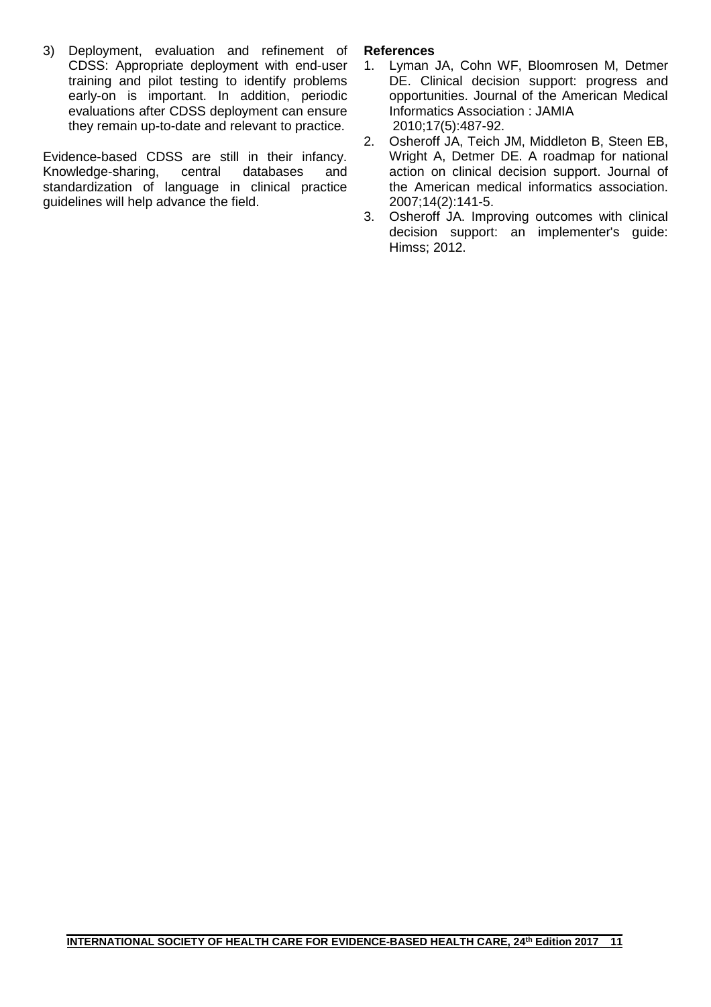3) Deployment, evaluation and refinement of CDSS: Appropriate deployment with end-user training and pilot testing to identify problems early-on is important. In addition, periodic evaluations after CDSS deployment can ensure they remain up-to-date and relevant to practice.

Evidence-based CDSS are still in their infancy. Knowledge-sharing, central standardization of language in clinical practice guidelines will help advance the field.

# **References**<br>1. Lyman

- Lyman JA, Cohn WF, Bloomrosen M, Detmer DE. Clinical decision support: progress and opportunities. Journal of the American Medical Informatics Association : JAMIA 2010;17(5):487-92.
- 2. Osheroff JA, Teich JM, Middleton B, Steen EB, Wright A, Detmer DE. A roadmap for national action on clinical decision support. Journal of the American medical informatics association. 2007;14(2):141-5.
- 3. Osheroff JA. Improving outcomes with clinical decision support: an implementer's guide: Himss; 2012.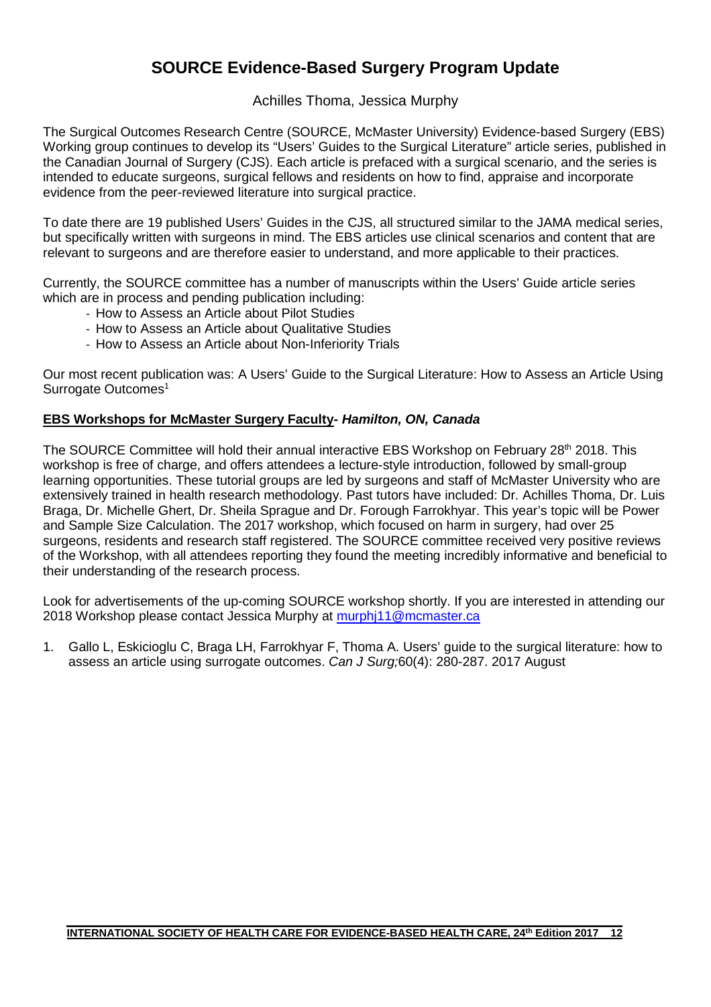# **SOURCE Evidence-Based Surgery Program Update**

## Achilles Thoma, Jessica Murphy

The Surgical Outcomes Research Centre (SOURCE, McMaster University) Evidence-based Surgery (EBS) Working group continues to develop its "Users' Guides to the Surgical Literature" article series, published in the Canadian Journal of Surgery (CJS). Each article is prefaced with a surgical scenario, and the series is intended to educate surgeons, surgical fellows and residents on how to find, appraise and incorporate evidence from the peer-reviewed literature into surgical practice.

To date there are 19 published Users' Guides in the CJS, all structured similar to the JAMA medical series, but specifically written with surgeons in mind. The EBS articles use clinical scenarios and content that are relevant to surgeons and are therefore easier to understand, and more applicable to their practices.

Currently, the SOURCE committee has a number of manuscripts within the Users' Guide article series which are in process and pending publication including:

- How to Assess an Article about Pilot Studies
- How to Assess an Article about Qualitative Studies
- How to Assess an Article about Non-Inferiority Trials

Our most recent publication was: A Users' Guide to the Surgical Literature: How to Assess an Article Using Surrogate Outcomes<sup>1</sup>

### **EBS Workshops for McMaster Surgery Faculty-** *Hamilton, ON, Canada*

The SOURCE Committee will hold their annual interactive EBS Workshop on February 28<sup>th</sup> 2018. This workshop is free of charge, and offers attendees a lecture-style introduction, followed by small-group learning opportunities. These tutorial groups are led by surgeons and staff of McMaster University who are extensively trained in health research methodology. Past tutors have included: Dr. Achilles Thoma, Dr. Luis Braga, Dr. Michelle Ghert, Dr. Sheila Sprague and Dr. Forough Farrokhyar. This year's topic will be Power and Sample Size Calculation. The 2017 workshop, which focused on harm in surgery, had over 25 surgeons, residents and research staff registered. The SOURCE committee received very positive reviews of the Workshop, with all attendees reporting they found the meeting incredibly informative and beneficial to their understanding of the research process.

Look for advertisements of the up-coming SOURCE workshop shortly. If you are interested in attending our 2018 Workshop please contact Jessica Murphy at [murphj11@mcmaster.ca](mailto:murphj11@mcmaster.ca)

1. Gallo L, Eskicioglu C, Braga LH, Farrokhyar F, Thoma A. Users' guide to the surgical literature: how to assess an article using surrogate outcomes. *Can J Surg;*60(4): 280-287. 2017 August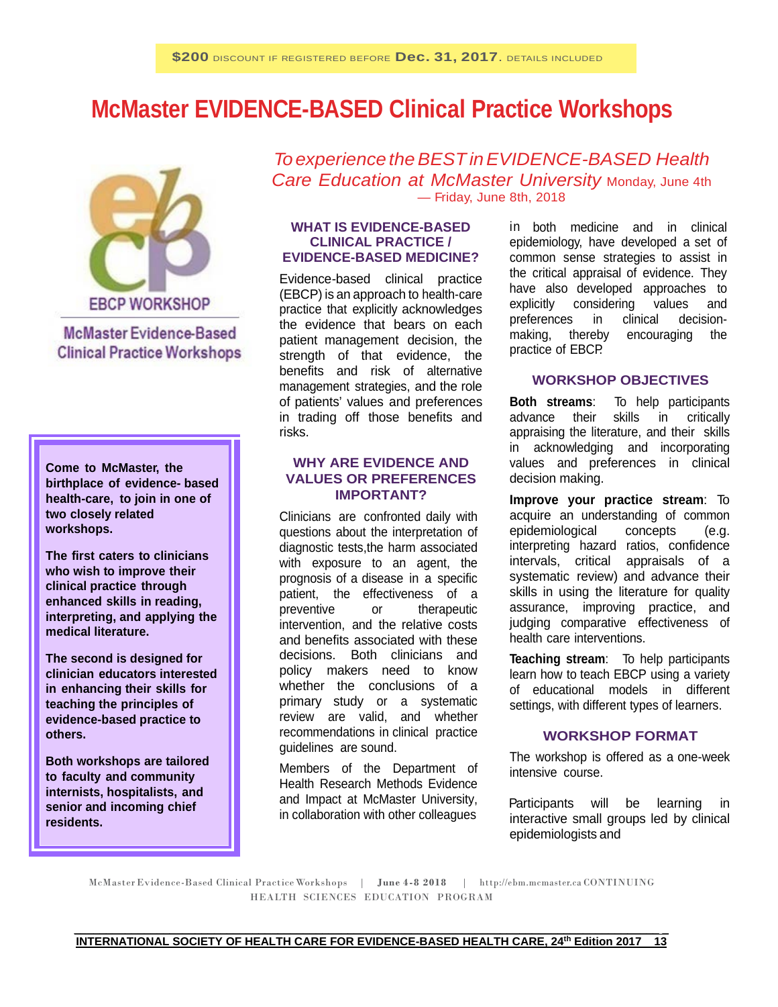# **McMaster EVIDENCE-BASED Clinical Practice Workshops**



**McMaster Evidence-Based Clinical Practice Workshops** 

**Come to McMaster, the birthplace of evidence- based health-care, to join in one of two closely related workshops.**

**The first caters to clinicians who wish to improve their clinical practice through enhanced skills in reading, interpreting, and applying the medical literature.**

**The second is designed for clinician educators interested in enhancing their skills for teaching the principles of evidence-based practice to others.**

**Both workshops are tailored to faculty and community internists, hospitalists, and senior and incoming chief residents.**

*To experience theBESTinEVIDENCE-BASED Health Care Education at McMaster University* Monday, June 4th — Friday, June 8th, 2018

#### **WHAT IS EVIDENCE-BASED CLINICAL PRACTICE / EVIDENCE-BASED MEDICINE?**

Evidence-based clinical practice (EBCP) is an approach to health-care practice that explicitly acknowledges the evidence that bears on each patient management decision, the strength of that evidence, the benefits and risk of alternative management strategies, and the role of patients' values and preferences in trading off those benefits and risks.

#### **WHY ARE EVIDENCE AND VALUES OR PREFERENCES IMPORTANT?**

Clinicians are confronted daily with questions about the interpretation of diagnostic tests,the harm associated with exposure to an agent, the prognosis of a disease in a specific patient, the effectiveness of a preventive or therapeutic intervention, and the relative costs and benefits associated with these decisions. Both clinicians and policy makers need to know whether the conclusions of a primary study or a systematic review are valid, and whether recommendations in clinical practice guidelines are sound.

Members of the Department of Health Research Methods Evidence and Impact at McMaster University, in collaboration with other colleagues

in both medicine and in clinical epidemiology, have developed a set of common sense strategies to assist in the critical appraisal of evidence. They have also developed approaches to<br>explicitly considering values and explicitly considering values and preferences in clinical decisionmaking, thereby encouraging the practice of EBCP.

#### **WORKSHOP OBJECTIVES**

**Both streams**: To help participants advance their skills in critically appraising the literature, and their skills in acknowledging and incorporating values and preferences in clinical decision making.

**Improve your practice stream**: To acquire an understanding of common epidemiological concepts (e.g. interpreting hazard ratios, confidence intervals, critical appraisals of a systematic review) and advance their skills in using the literature for quality assurance, improving practice, and judging comparative effectiveness of health care interventions.

**Teaching stream**: To help participants learn how to teach EBCP using a variety of educational models in different settings, with different types of learners.

#### **WORKSHOP FORMAT**

The workshop is offered as a one-week intensive course.

Participants will be learning in interactive small groups led by clinical epidemiologists and

McMasterEvidence-Based Clinical Practice Workshops | **June 4-8 2018** | [http://ebm.mcmaster.ca](http://ebm.mcmaster.ca/) CONTINUING HEALTH SCIENCES EDUCATION PROGRAM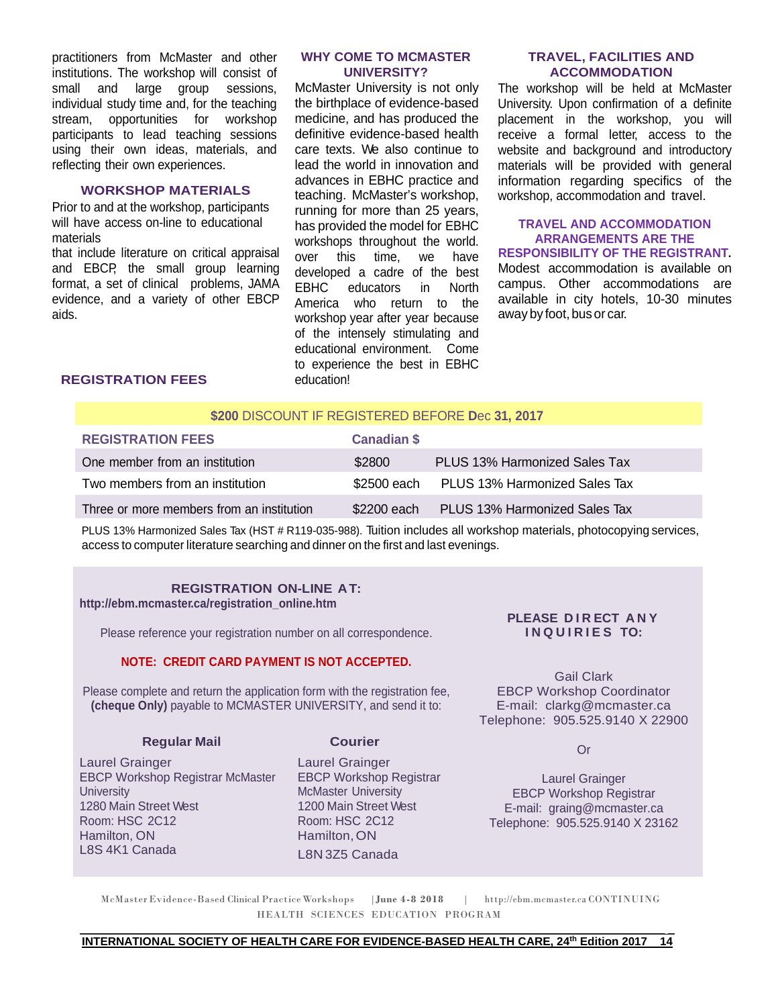practitioners from McMaster and other institutions. The workshop will consist of small and large group sessions, individual study time and, for the teaching stream, opportunities for workshop participants to lead teaching sessions using their own ideas, materials, and reflecting their own experiences.

#### **WORKSHOP MATERIALS**

Prior to and at the workshop, participants will have access on-line to educational materials

that include literature on critical appraisal and EBCP, the small group learning format, a set of clinical problems, JAMA evidence, and a variety of other EBCP aids.

#### **WHY COME TO MCMASTER UNIVERSITY?**

McMaster University is not only the birthplace of evidence-based medicine, and has produced the definitive evidence-based health care texts. We also continue to lead the world in innovation and advances in EBHC practice and teaching. McMaster's workshop, running for more than 25 years, has provided the model for EBHC workshops throughout the world. over this time, we have developed a cadre of the best<br>EBHC educators in North educators in North America who return to the workshop year after year because of the intensely stimulating and educational environment. Come to experience the best in EBHC education!

#### **TRAVEL, FACILITIES AND ACCOMMODATION**

The workshop will be held at McMaster University. Upon confirmation of a definite placement in the workshop, you will receive a formal letter, access to the website and background and introductory materials will be provided with general information regarding specifics of the workshop, accommodation and travel.

#### **TRAVEL AND ACCOMMODATION ARRANGEMENTS ARE THE RESPONSIBILITY OF THE REGISTRANT.**

Modest accommodation is available on campus. Other accommodations are available in city hotels, 10-30 minutes away by foot, bus or car.

#### **REGISTRATION FEES**

#### **\$200** DISCOUNT IF REGISTERED BEFORE **D**ec **31, 2017**

| <b>REGISTRATION FEES</b>                  | <b>Canadian \$</b> |                               |
|-------------------------------------------|--------------------|-------------------------------|
| One member from an institution            | \$2800             | PLUS 13% Harmonized Sales Tax |
| Two members from an institution           | \$2500 each        | PLUS 13% Harmonized Sales Tax |
| Three or more members from an institution | \$2200 each        | PLUS 13% Harmonized Sales Tax |

PLUS 13% Harmonized Sales Tax (HST # R119-035-988). Tuition includes all workshop materials, photocopying services, access to computer literature searching and dinner on the first and last evenings.

### **REGISTRATION ON-LINE AT:**

**[http://ebm.mcmaster.ca/registration\\_online.htm](http://ebm.mcmaster.ca/registration_online.htm)**

Please reference your registration number on all correspondence.

#### **NOTE: CREDIT CARD PAYMENT IS NOT ACCEPTED.**

Please complete and return the application form with the registration fee, **(cheque Only)** payable to MCMASTER UNIVERSITY, and send it to:

**Regular Mail** Laurel Grainger EBCP Workshop Registrar McMaster **University** 1280 Main Street West Room: HSC 2C12 Hamilton, ON L8S 4K1 Canada

### **Courier**

Laurel Grainger EBCP Workshop Registrar McMaster University 1200 Main Street West Room: HSC 2C12 Hamilton,ON L8N 3Z5 Canada

#### **PLEASE DIR ECT ANY INQUIRIES TO:**

Gail Clark EBCP Workshop Coordinator E-mail: clarkg@mcmaster.ca Telephone: 905.525.9140 X 22900

Or

Laurel Grainger EBCP Workshop Registrar E-mail: graing@mcmaster.ca Telephone: 905.525.9140 X 23162

McMasterEvidence-Based Clinical Practice Workshops |**June 4-8 2018** | [http://ebm.mcmaster.ca](http://ebm.mcmaster.ca/) CONTINUING HEALTH SCIENCES EDUCATION PROGRAM

#### \_\_\_\_\_\_\_\_\_\_\_\_\_\_\_\_\_\_\_\_\_\_\_\_\_\_\_\_\_\_\_\_\_\_\_\_\_\_\_\_\_\_\_\_\_\_\_\_\_\_\_\_\_\_\_\_\_\_\_\_\_\_\_\_\_\_\_\_\_\_\_\_\_\_\_\_\_\_\_\_\_\_\_\_\_\_\_\_\_\_\_\_ \_ **INTERNATIONAL SOCIETY OF HEALTH CARE FOR EVIDENCE-BASED HEALTH CARE, 24th Edition 2017 14**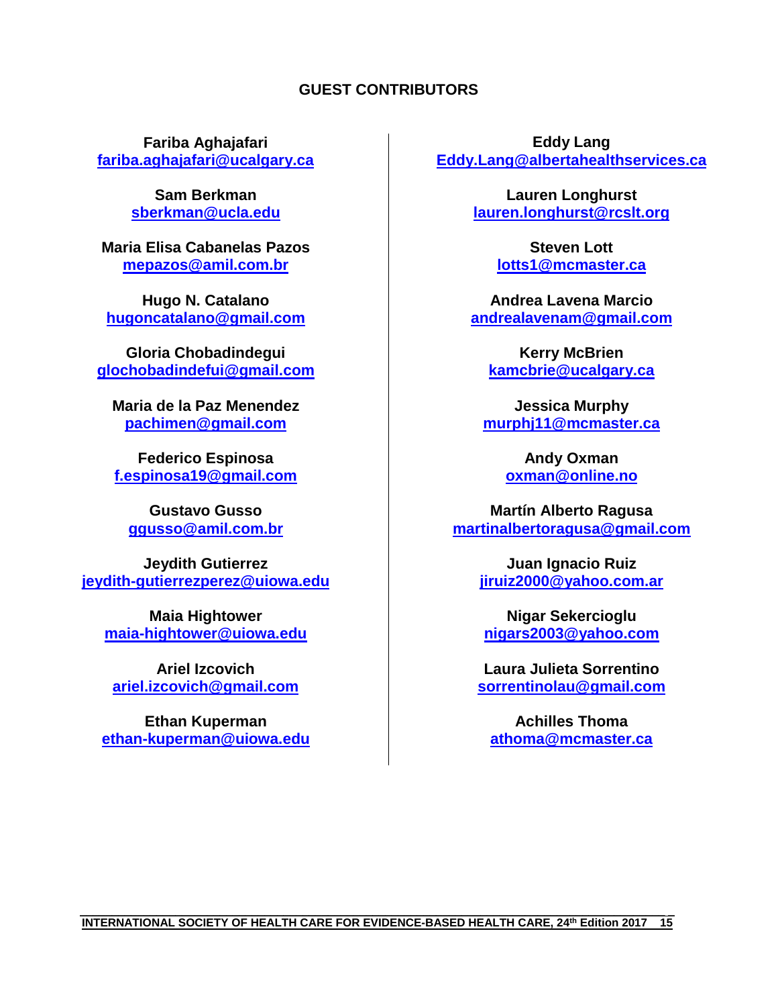### **GUEST CONTRIBUTORS**

**Fariba Aghajafari [fariba.aghajafari@ucalgary.ca](mailto:fariba.aghajafari@ucalgary.ca)**

> **Sam Berkman sberkman@ucla.edu**

**Maria Elisa Cabanelas Pazos mepazos@amil.com.br**

**Hugo N. Catalano hugoncatalano@gmail.com**

**Gloria Chobadindegui [glochobadindefui@gmail.com](mailto:glochobadindefui@gmail.com)**

**Maria de la Paz Menendez [pachimen@gmail.com](mailto:pachimen@gmail.com)**

**Federico Espinosa [f.espinosa19@gmail.com](mailto:f.espinosa19@gmail.com)**

**Gustavo Gusso [ggusso@amil.com.br](mailto:ggusso@amil.com.br)**

**Jeydith Gutierrez [jeydith-gutierrezperez@uiowa.edu](mailto:jeydith-gutierrezperez@uiowa.edu)**

**Maia Hightower [maia-hightower@uiowa.edu](mailto:maia-hightower@uiowa.edu)**

**Ariel Izcovich ariel.izcovich@gmail.com**

**Ethan Kuperman [ethan-kuperman@uiowa.edu](mailto:ethan-kuperman@uiowa.edu)**

**Eddy Lang [Eddy.Lang@albertahealthservices.ca](mailto:Eddy.Lang@albertahealthservices.ca)**

> **Lauren Longhurst [lauren.longhurst@rcslt.org](mailto:lauren.longhurst@rcslt.org)**

> > **Steven Lott lotts1@mcmaster.ca**

**Andrea Lavena Marcio [andrealavenam@gmail.com](mailto:andrealavenam@gmail.com)**

**Kerry McBrien [kamcbrie@ucalgary.ca](mailto:kamcbrie@ucalgary.ca)**

**Jessica Murphy murphj11@mcmaster.ca**

> **Andy Oxman [oxman@online.no](mailto:oxman@online.no)**

**Martín Alberto Ragusa [martinalbertoragusa@gmail.com](mailto:martinalbertoragusa@gmail.com)**

> **Juan Ignacio Ruiz jiruiz2000@yahoo.com.ar**

**Nigar Sekercioglu [nigars2003@yahoo.com](mailto:nigars2003@yahoo.com)**

**Laura Julieta Sorrentino [sorrentinolau@gmail.com](mailto:sorrentinolau@gmail.com)**

**Achilles Thoma athoma@mcmaster.ca**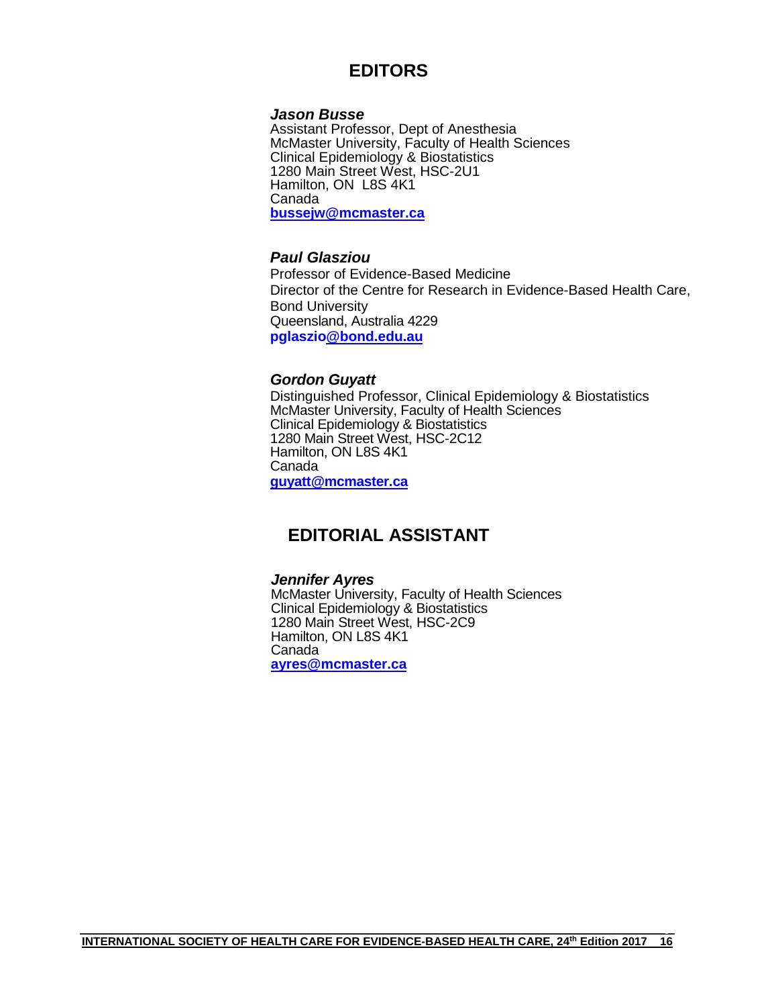# **EDITORS**

#### *Jason Busse*

Assistant Professor, Dept of Anesthesia McMaster University, Faculty of Health Sciences Clinical Epidemiology & Biostatistics 1280 Main Street West, HSC-2U1 Hamilton, ON L8S 4K1 Canada **[bussejw@mcmaster.ca](mailto:bussejw@mcmaster.ca)**

### *Paul Glasziou*

Professor of Evidence-Based Medicine Director of the Centre for Research in Evidence-Based Health Care, Bond University Queensland, Australia 4229 **pglaszi[o@bond.edu.au](mailto:Paul_Glasziou@bond.edu.au)**

#### *Gordon Guyatt*

Distinguished Professor, Clinical Epidemiology & Biostatistics McMaster University, Faculty of Health Sciences Clinical Epidemiology & Biostatistics 1280 Main Street West, HSC-2C12 Hamilton, ON L8S 4K1 Canada **[guyatt@mcmaster.ca](mailto:guyatt@mcmaster.ca)**

# **EDITORIAL ASSISTANT**

#### *Jennifer Ayres*

McMaster University, Faculty of Health Sciences Clinical Epidemiology & Biostatistics 1280 Main Street West, HSC-2C9 Hamilton, ON L8S 4K1 Canada **[ayres@mcmaster.ca](mailto:ayres@mcmaster.ca)**